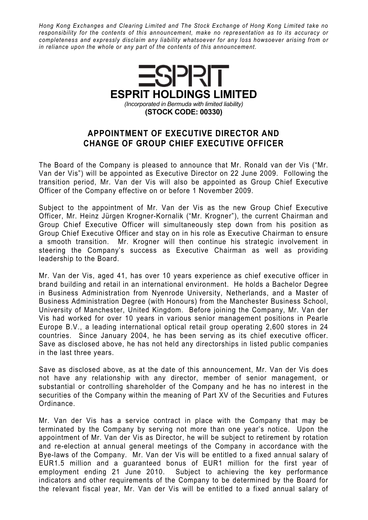Hong Kong Exchanges and Clearing Limited and The Stock Exchange of Hong Kong Limited take no responsibility for the contents of this announcement, make no representation as to its accuracy or completeness and expressly disclaim any liability whatsoever for any loss howsoever arising from or in reliance upon the whole or any part of the contents of this announcement.



## APPOINTMENT OF EXECUTIVE DIRECTOR AND CHANGE OF GROUP CHIEF EXECUTIVE OFFICER

The Board of the Company is pleased to announce that Mr. Ronald van der Vis ("Mr. Van der Vis") will be appointed as Executive Director on 22 June 2009. Following the transition period, Mr. Van der Vis will also be appointed as Group Chief Executive Officer of the Company effective on or before 1 November 2009.

Subject to the appointment of Mr. Van der Vis as the new Group Chief Executive Officer, Mr. Heinz Jürgen Krogner-Kornalik ("Mr. Krogner"), the current Chairman and Group Chief Executive Officer will simultaneously step down from his position as Group Chief Executive Officer and stay on in his role as Executive Chairman to ensure a smooth transition. Mr. Krogner will then continue his strategic involvement in steering the Company's success as Executive Chairman as well as providing leadership to the Board.

Mr. Van der Vis, aged 41, has over 10 years experience as chief executive officer in brand building and retail in an international environment. He holds a Bachelor Degree in Business Administration from Nyenrode University, Netherlands, and a Master of Business Administration Degree (with Honours) from the Manchester Business School, University of Manchester, United Kingdom. Before joining the Company, Mr. Van der Vis had worked for over 10 years in various senior management positions in Pearle Europe B.V., a leading international optical retail group operating 2,600 stores in 24 countries. Since January 2004, he has been serving as its chief executive officer. Save as disclosed above, he has not held any directorships in listed public companies in the last three years.

Save as disclosed above, as at the date of this announcement, Mr. Van der Vis does not have any relationship with any director, member of senior management, or substantial or controlling shareholder of the Company and he has no interest in the securities of the Company within the meaning of Part XV of the Securities and Futures Ordinance.

Mr. Van der Vis has a service contract in place with the Company that may be terminated by the Company by serving not more than one year's notice. Upon the appointment of Mr. Van der Vis as Director, he will be subject to retirement by rotation and re-election at annual general meetings of the Company in accordance with the Bye-laws of the Company. Mr. Van der Vis will be entitled to a fixed annual salary of EUR1.5 million and a guaranteed bonus of EUR1 million for the first year of employment ending 21 June 2010. Subject to achieving the key performance indicators and other requirements of the Company to be determined by the Board for the relevant fiscal year, Mr. Van der Vis will be entitled to a fixed annual salary of